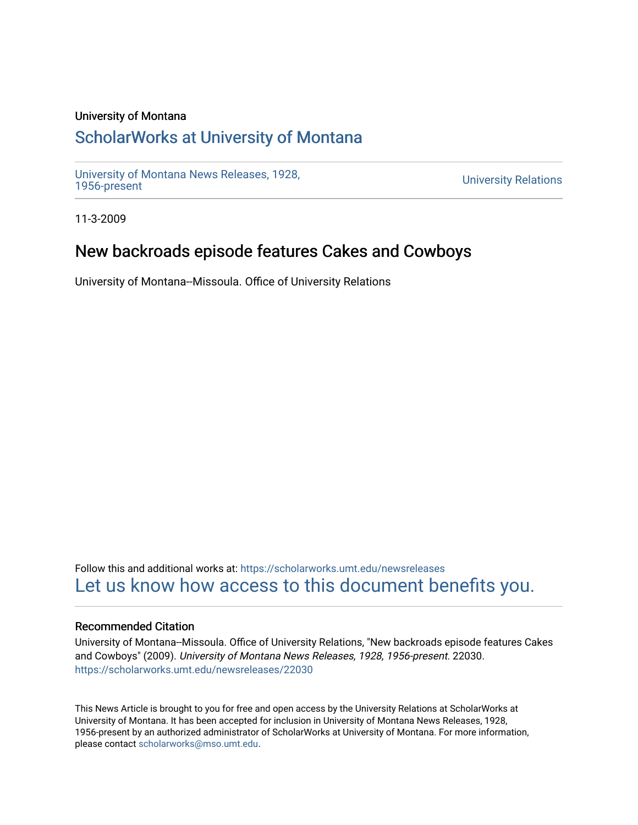#### University of Montana

## [ScholarWorks at University of Montana](https://scholarworks.umt.edu/)

[University of Montana News Releases, 1928,](https://scholarworks.umt.edu/newsreleases) 

**University Relations** 

11-3-2009

## New backroads episode features Cakes and Cowboys

University of Montana--Missoula. Office of University Relations

Follow this and additional works at: [https://scholarworks.umt.edu/newsreleases](https://scholarworks.umt.edu/newsreleases?utm_source=scholarworks.umt.edu%2Fnewsreleases%2F22030&utm_medium=PDF&utm_campaign=PDFCoverPages) [Let us know how access to this document benefits you.](https://goo.gl/forms/s2rGfXOLzz71qgsB2) 

#### Recommended Citation

University of Montana--Missoula. Office of University Relations, "New backroads episode features Cakes and Cowboys" (2009). University of Montana News Releases, 1928, 1956-present. 22030. [https://scholarworks.umt.edu/newsreleases/22030](https://scholarworks.umt.edu/newsreleases/22030?utm_source=scholarworks.umt.edu%2Fnewsreleases%2F22030&utm_medium=PDF&utm_campaign=PDFCoverPages) 

This News Article is brought to you for free and open access by the University Relations at ScholarWorks at University of Montana. It has been accepted for inclusion in University of Montana News Releases, 1928, 1956-present by an authorized administrator of ScholarWorks at University of Montana. For more information, please contact [scholarworks@mso.umt.edu.](mailto:scholarworks@mso.umt.edu)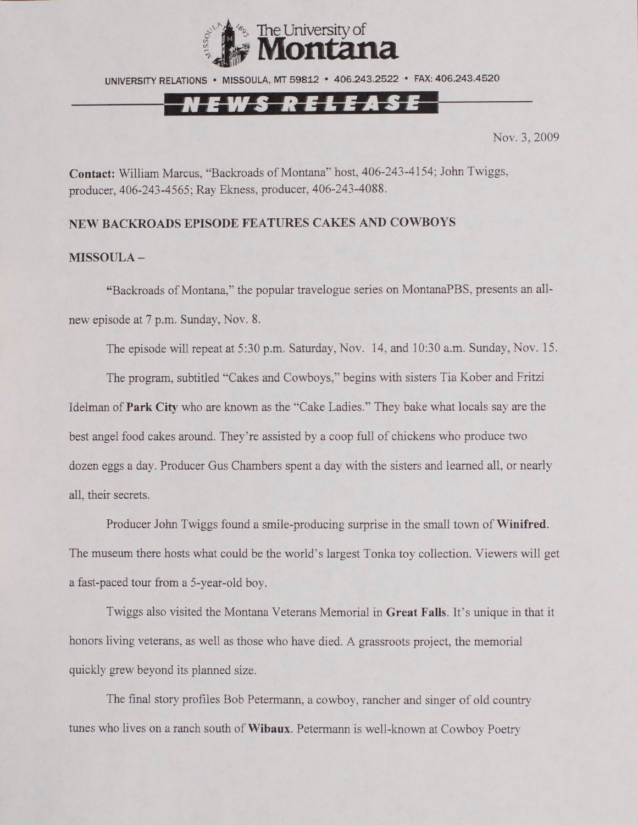

UNIVERSITY RELATIONS • MISSOULA, MT 59812 • 406.243.2522 • FAX: 406.243.4520

# ews release

Nov. 3, 2009

**Contact:** William Marcus, "Backroads of Montana" host, 406-243-4154; John Twiggs, producer, 406-243-4565; Ray Ekness, producer, 406-243-4088.

### **NEW BACKROADS EPISODE FEATURES CAKES AND COWBOYS**

#### **MISSOULA -**

"Backroads of Montana," the popular travelogue series on MontanaPBS, presents an allnew episode at 7 p.m. Sunday, Nov. 8.

The episode will repeat at 5:30 p.m. Saturday, Nov. 14, and 10:30 a.m. Sunday, Nov. 15.

The program, subtitled "Cakes and Cowboys," begins with sisters Tia Kober and Fritzi Idelman of **Park City** who are known as the "Cake Ladies." They bake what locals say are the best angel food cakes around. They're assisted by a coop full of chickens who produce two dozen eggs a day. Producer Gus Chambers spent a day with the sisters and learned all, or nearly all, their secrets.

Producer John Twiggs found a smile-producing surprise in the small town of **Winifred.** The museum there hosts what could be the world's largest Tonka toy collection. Viewers will get a fast-paced tour from a 5-year-old boy.

Twiggs also visited the Montana Veterans Memorial in **Great Falls.** It's unique in that it honors living veterans, as well as those who have died. A grassroots project, the memorial quickly grew beyond its planned size.

The final story profiles Bob Petermann, a cowboy, rancher and singer of old country tunes who lives on a ranch south of **Wibaux.** Petermann is well-known at Cowboy Poetry